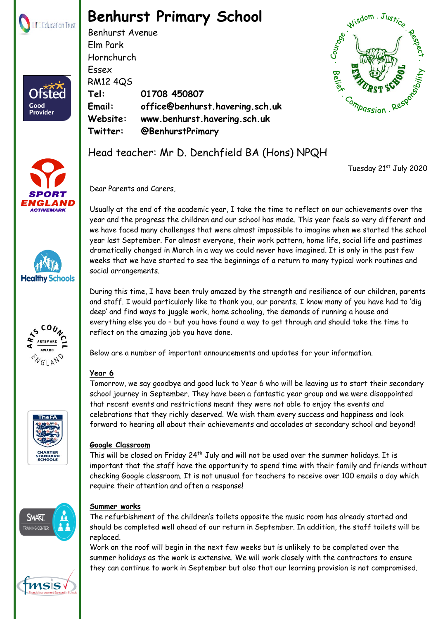

Ofster

Good **Provider** 

# **Benhurst Primary School**

Benhurst Avenue Elm Park Hornchurch Essex RM12 4QS **Tel: 01708 450807 Email: office@benhurst.havering.sch.uk Website: www.benhurst.havering.sch.uk Twitter: @BenhurstPrimary**











## **Google Classroom**

This will be closed on Friday 24th July and will not be used over the summer holidays. It is important that the staff have the opportunity to spend time with their family and friends without checking Google classroom. It is not unusual for teachers to receive over 100 emails a day which require their attention and often a response!



msis

## **Summer works**

The refurbishment of the children's toilets opposite the music room has already started and should be completed well ahead of our return in September. In addition, the staff toilets will be replaced.

Work on the roof will begin in the next few weeks but is unlikely to be completed over the summer holidays as the work is extensive. We will work closely with the contractors to ensure they can continue to work in September but also that our learning provision is not compromised.

Head teacher: Mr D. Denchfield BA (Hons) NPQH

Tuesday 21st July 2020

Dear Parents and Carers,

Usually at the end of the academic year, I take the time to reflect on our achievements over the year and the progress the children and our school has made. This year feels so very different and we have faced many challenges that were almost impossible to imagine when we started the school year last September. For almost everyone, their work pattern, home life, social life and pastimes dramatically changed in March in a way we could never have imagined. It is only in the past few weeks that we have started to see the beginnings of a return to many typical work routines and social arrangements.

During this time, I have been truly amazed by the strength and resilience of our children, parents and staff. I would particularly like to thank you, our parents. I know many of you have had to 'dig deep' and find ways to juggle work, home schooling, the demands of running a house and everything else you do – but you have found a way to get through and should take the time to reflect on the amazing job you have done.

Below are a number of important announcements and updates for your information.

## **Year 6**

Tomorrow, we say goodbye and good luck to Year 6 who will be leaving us to start their secondary school journey in September. They have been a fantastic year group and we were disappointed that recent events and restrictions meant they were not able to enjoy the events and celebrations that they richly deserved. We wish them every success and happiness and look forward to hearing all about their achievements and accolades at secondary school and beyond!